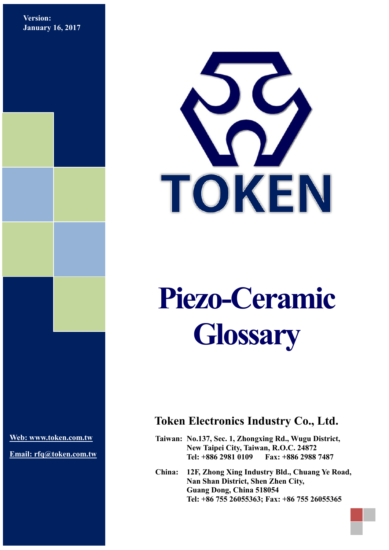**Version: January 16, 2017**



# **Piezo-Ceramic Glossary**

**Web: [www.token.com.tw](http://www.token.com.tw/)**

**Email: rfq@token.com.tw**

# **Token Electronics Industry Co., Ltd.**

**Taiwan: No.137, Sec. 1, Zhongxing Rd., Wugu District, New Taipei City, Taiwan, R.O.C. 24872 Tel: +886 2981 0109 Fax: +886 2988 7487**

**China: 12F, Zhong Xing Industry Bld., Chuang Ye Road, Nan Shan District, Shen Zhen City, Guang Dong, China 518054 Tel: +86 755 26055363; Fax: +86 755 26055365**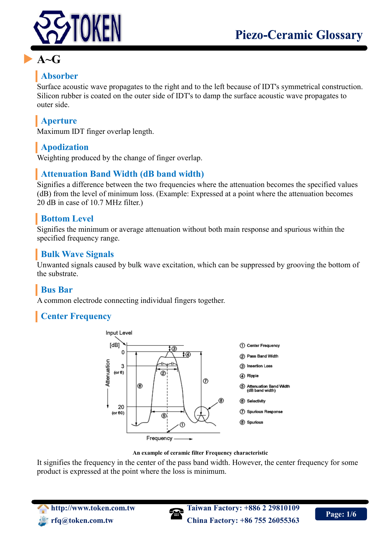

# **A~G**

# **Absorber**

Surface acoustic wave propagates to the right and to the left because of IDT's symmetrical construction. Silicon rubber is coated on the outer side of IDT's to damp the surface acoustic wave propagates to outer side.

# **Aperture**

Maximum IDT finger overlap length.

# **Apodization**

Weighting produced by the change of finger overlap.

### **Attenuation Band Width (dB band width)**

Signifies a difference between the two frequencies where the attenuation becomes the specified values (dB) from the level of minimum loss. (Example: Expressed at a point where the attenuation becomes 20 dB in case of 10.7 MHz filter.)

# **Bottom Level**

Signifies the minimum or average attenuation without both main response and spurious within the specified frequency range.

# **Bulk Wave Signals**

Unwanted signals caused by bulk wave excitation, which can be suppressed by grooving the bottom of the substrate.

# **Bus Bar**

A common electrode connecting individual fingers together.

# **Center Frequency**



#### **An example of ceramic filter Frequency characteristic**

It signifies the frequency in the center of the pass band width. However, the center frequency for some product is expressed at the point where the loss is minimum.

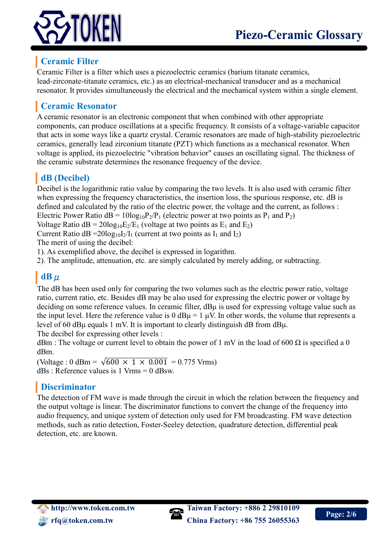



# **Ceramic Filter**

Ceramic Filter is a filter which uses a piezoelectric ceramics (barium titanate ceramics, lead-zirconate-titanate ceramics, etc.) as an electrical-mechanical transducer and as a mechanical resonator. It provides simultaneously the electrical and the mechanical system within a single element.

# **Ceramic Resonator**

A ceramic resonator is an electronic component that when combined with other appropriate components, can produce oscillations at a specific frequency. It consists of a voltage-variable capacitor that acts in some ways like a quartz crystal. Ceramic resonators are made of high-stability piezoelectric ceramics, generally lead zirconium titanate (PZT) which functions as a mechanical resonator. When voltage is applied, its piezoelectric "vibration behavior" causes an oscillating signal. The thickness of the ceramic substrate determines the resonance frequency of the device.

# **dB (Decibel)**

Decibel is the logarithmic ratio value by comparing the two levels. It is also used with ceramic filter when expressing the frequency characteristics, the insertion loss, the spurious response, etc. dB is defined and calculated by the ratio of the electric power, the voltage and the current, as follows : Electric Power Ratio  $dB = 10\log_{10}P_2/P_1$  (electric power at two points as  $P_1$  and  $P_2$ )

Voltage Ratio  $dB = 20\log_{10}E_2/E_1$  (voltage at two points as  $E_1$  and  $E_2$ )

Current Ratio dB =  $20\log_{10}I_2/I_1$  (current at two points as  $I_1$  and  $I_2$ )

The merit of using the decibel:

1). As exemplified above, the decibel is expressed in logarithm.

2). The amplitude, attenuation, etc. are simply calculated by merely adding, or subtracting.

# **dB**μ

The dB has been used only for comparing the two volumes such as the electric power ratio, voltage ratio, current ratio, etc. Besides dB may be also used for expressing the electric power or voltage by deciding on some reference values. In ceramic filter, dBμ is used for expressing voltage value such as the input level. Here the reference value is  $0 dB\mu = 1 \mu V$ . In other words, the volume that represents a level of 60 dBμ equals 1 mV. It is important to clearly distinguish dB from dBμ.

The decibel for expressing other levels :

dBm : The voltage or current level to obtain the power of 1 mV in the load of 600  $\Omega$  is specified a 0 dBm.

(Voltage : 0 dBm =  $\sqrt{600 \times 1 \times 0.001}$  = 0.775 Vrms)  $dBs$ : Reference values is 1 Vrms = 0 dBsw.

### **Discriminator**

The detection of FM wave is made through the circuit in which the relation between the frequency and the output voltage is linear. The discriminator functions to convert the change of the frequency into audio frequency, and unique system of detection only used for FM broadcasting. FM wave detection methods, such as ratio detection, Foster-Seeley detection, quadrature detection, differential peak detection, etc. are known.

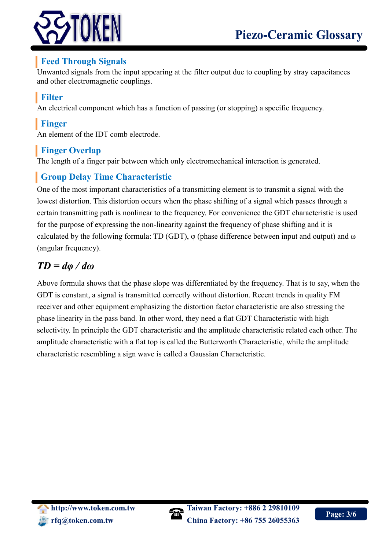

# **Feed Through Signals**

Unwanted signals from the input appearing at the filter output due to coupling by stray capacitances and other electromagnetic couplings.

# **Filter**

An electrical component which has a function of passing (or stopping) a specific frequency.

# **Finger**

An element of the IDT comb electrode.

# **Finger Overlap**

The length of a finger pair between which only electromechanical interaction is generated.

# **Group Delay Time Characteristic**

One of the most important characteristics of a transmitting element is to transmit a signal with the lowest distortion. This distortion occurs when the phase shifting of a signal which passes through a certain transmitting path is nonlinear to the frequency. For convenience the GDT characteristic is used for the purpose of expressing the non-linearity against the frequency of phase shifting and it is calculated by the following formula: TD (GDT),  $\varphi$  (phase difference between input and output) and  $\omega$ (angular frequency).

# *TD = dφ / dω*

Above formula shows that the phase slope was differentiated by the frequency. That is to say, when the GDT is constant, a signal is transmitted correctly without distortion. Recent trends in quality FM receiver and other equipment emphasizing the distortion factor characteristic are also stressing the phase linearity in the pass band. In other word, they need a flat GDT Characteristic with high selectivity. In principle the GDT characteristic and the amplitude characteristic related each other. The amplitude characteristic with a flat top is called the Butterworth Characteristic, while the amplitude characteristic resembling a sign wave is called a Gaussian Characteristic.

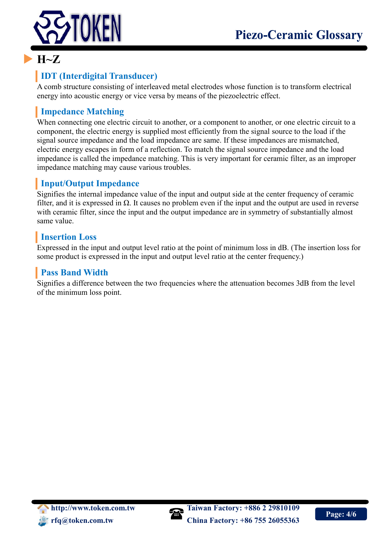

# **H~Z**

# **IDT (Interdigital Transducer)**

A comb structure consisting of interleaved metal electrodes whose function is to transform electrical energy into acoustic energy or vice versa by means of the piezoelectric effect.

# **Impedance Matching**

When connecting one electric circuit to another, or a component to another, or one electric circuit to a component, the electric energy is supplied most efficiently from the signal source to the load if the signal source impedance and the load impedance are same. If these impedances are mismatched, electric energy escapes in form of a reflection. To match the signal source impedance and the load impedance is called the impedance matching. This is very important for ceramic filter, as an improper impedance matching may cause various troubles.

# **Input/Output Impedance**

Signifies the internal impedance value of the input and output side at the center frequency of ceramic filter, and it is expressed in  $\Omega$ . It causes no problem even if the input and the output are used in reverse with ceramic filter, since the input and the output impedance are in symmetry of substantially almost same value.

# **Insertion Loss**

Expressed in the input and output level ratio at the point of minimum loss in dB. (The insertion loss for some product is expressed in the input and output level ratio at the center frequency.)

# **Pass Band Width**

Signifies a difference between the two frequencies where the attenuation becomes 3dB from the level of the minimum loss point.

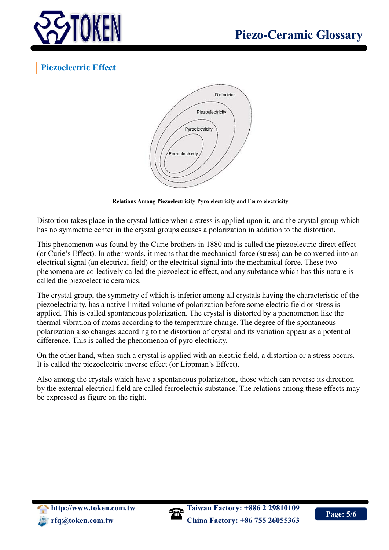

# **Piezoelectric Effect**



Distortion takes place in the crystal lattice when a stress is applied upon it, and the crystal group which has no symmetric center in the crystal groups causes a polarization in addition to the distortion.

This phenomenon was found by the Curie brothers in 1880 and is called the piezoelectric direct effect (or Curie's Effect). In other words, it means that the mechanical force (stress) can be converted into an electrical signal (an electrical field) or the electrical signal into the mechanical force. These two phenomena are collectively called the piezoelectric effect, and any substance which has this nature is called the piezoelectric ceramics.

The crystal group, the symmetry of which is inferior among all crystals having the characteristic of the piezoelectricity, has a native limited volume of polarization before some electric field or stress is applied. This is called spontaneous polarization. The crystal is distorted by a phenomenon like the thermal vibration of atoms according to the temperature change. The degree of the spontaneous polarization also changes according to the distortion of crystal and its variation appear as a potential difference. This is called the phenomenon of pyro electricity.

On the other hand, when such a crystal is applied with an electric field, a distortion or a stress occurs. It is called the piezoelectric inverse effect (or Lippman's Effect).

Also among the crystals which have a spontaneous polarization, those which can reverse its direction by the external electrical field are called ferroelectric substance. The relations among these effects may be expressed as figure on the right.